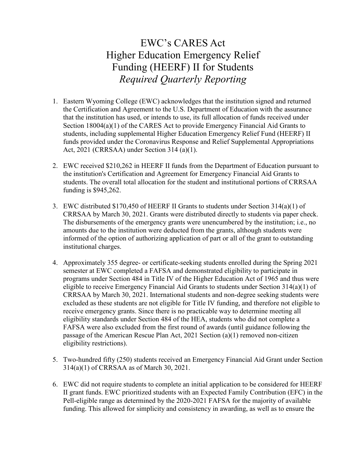## EWC's CARES Act Higher Education Emergency Relief Funding (HEERF) II for Students *Required Quarterly Reporting*

- 1. Eastern Wyoming College (EWC) acknowledges that the institution signed and returned the Certification and Agreement to the U.S. Department of Education with the assurance that the institution has used, or intends to use, its full allocation of funds received under Section 18004(a)(1) of the CARES Act to provide Emergency Financial Aid Grants to students, including supplemental Higher Education Emergency Relief Fund (HEERF) II funds provided under the Coronavirus Response and Relief Supplemental Appropriations Act, 2021 (CRRSAA) under Section 314 (a)(1).
- 2. EWC received \$210,262 in HEERF II funds from the Department of Education pursuant to the institution's Certification and Agreement for Emergency Financial Aid Grants to students. The overall total allocation for the student and institutional portions of CRRSAA funding is \$945,262.
- 3. EWC distributed \$170,450 of HEERF II Grants to students under Section 314(a)(1) of CRRSAA by March 30, 2021. Grants were distributed directly to students via paper check. The disbursements of the emergency grants were unencumbered by the institution; i.e., no amounts due to the institution were deducted from the grants, although students were informed of the option of authorizing application of part or all of the grant to outstanding institutional charges.
- 4. Approximately 355 degree- or certificate-seeking students enrolled during the Spring 2021 semester at EWC completed a FAFSA and demonstrated eligibility to participate in programs under Section 484 in Title IV of the Higher Education Act of 1965 and thus were eligible to receive Emergency Financial Aid Grants to students under Section 314(a)(1) of CRRSAA by March 30, 2021. International students and non-degree seeking students were excluded as these students are not eligible for Title IV funding, and therefore not eligible to receive emergency grants. Since there is no practicable way to determine meeting all eligibility standards under Section 484 of the HEA, students who did not complete a FAFSA were also excluded from the first round of awards (until guidance following the passage of the American Rescue Plan Act, 2021 Section (a)(1) removed non-citizen eligibility restrictions).
- 5. Two-hundred fifty (250) students received an Emergency Financial Aid Grant under Section 314(a)(1) of CRRSAA as of March 30, 2021.
- 6. EWC did not require students to complete an initial application to be considered for HEERF II grant funds. EWC prioritized students with an Expected Family Contribution (EFC) in the Pell-eligible range as determined by the 2020-2021 FAFSA for the majority of available funding. This allowed for simplicity and consistency in awarding, as well as to ensure the